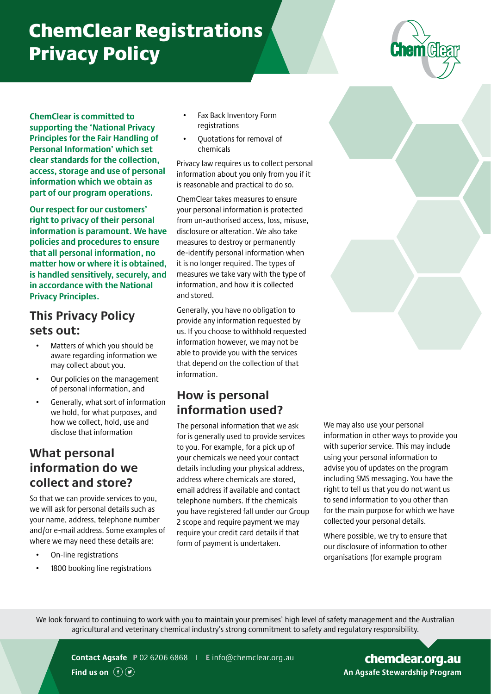# ChemClear Registrations Privacy Policy



**ChemClear is committed to supporting the 'National Privacy Principles for the Fair Handling of Personal Information' which set clear standards for the collection, access, storage and use of personal information which we obtain as part of our program operations.**

**Our respect for our customers' right to privacy of their personal information is paramount. We have policies and procedures to ensure that all personal information, no matter how or where it is obtained, is handled sensitively, securely, and in accordance with the National Privacy Principles.**

## **This Privacy Policy sets out:**

- Matters of which you should be aware regarding information we may collect about you.
- Our policies on the management of personal information, and
- Generally, what sort of information we hold, for what purposes, and how we collect, hold, use and disclose that information

#### **What personal information do we collect and store?**

So that we can provide services to you, we will ask for personal details such as your name, address, telephone number and/or e-mail address. Some examples of where we may need these details are:

- On-line registrations
- 1800 booking line registrations
- Fax Back Inventory Form registrations
- Quotations for removal of chemicals

Privacy law requires us to collect personal information about you only from you if it is reasonable and practical to do so.

ChemClear takes measures to ensure your personal information is protected from un-authorised access, loss, misuse, disclosure or alteration. We also take measures to destroy or permanently de-identify personal information when it is no longer required. The types of measures we take vary with the type of information, and how it is collected and stored.

Generally, you have no obligation to provide any information requested by us. If you choose to withhold requested information however, we may not be able to provide you with the services that depend on the collection of that information.

# **How is personal information used?**

The personal information that we ask for is generally used to provide services to you. For example, for a pick up of your chemicals we need your contact details including your physical address, address where chemicals are stored, email address if available and contact telephone numbers. If the chemicals you have registered fall under our Group 2 scope and require payment we may require your credit card details if that form of payment is undertaken.

information in other ways to provide you with superior service. This may include advise you of updates on the program including SMS messaging. You have the right to tell us that you do not want us to send information to you other than for the main purpose for which we have collected your personal details.

Where possible, we try to ensure that our disclosure of information to other organisations (for example program

We look forward to continuing to work with you to maintain your premises' high level of safety management and the Australian agricultural and veterinary chemical industry's strong commitment to safety and regulatory responsibility.



**Find us on**  $(F)$ 

**Contact Agsafe P** 02 6206 6868 I **E** [info@chemclear.org.au](mailto:info%40chemclear.org.au?subject=)

AGSAFE.ORG.AU **An Agsafe Stewardship Program** [chemclear.org.au](https://www.chemclear.org.au/)